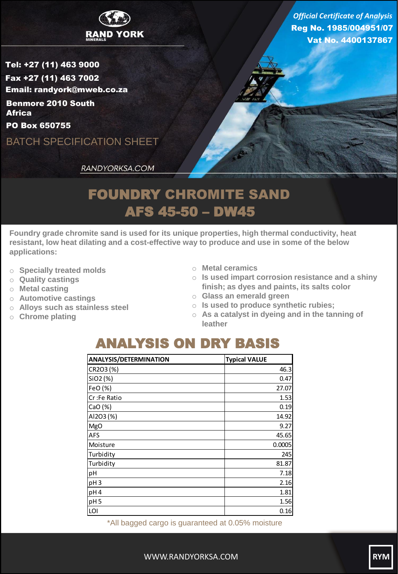

Reg No. 1985/004951/07 Vat No. 4400137867 *Official Certificate of Analysis*

Tel: +27 (11) 463 9000 Fax +27 (11) 463 7002 Email: randyork@mweb.co.za Benmore 2010 South **Africa** 

PO Box 650755

BATCH SPECIFICATION SHEET

RANDYORKSA.COM

## FOUNDRY CHROMITE SAND AFS 45-50 – DW45

**Foundry grade chromite sand is used for its unique properties, high thermal conductivity, heat resistant, low heat dilating and a cost-effective way to produce and use in some of the below applications:**

- o **Specially treated molds**
- o **Quality castings**
- o **Metal casting**
- o **Automotive castings**
- o **Alloys such as stainless steel**
- o **Chrome plating**
- o **Metal ceramics**
- o **Is used impart corrosion resistance and a shiny finish; as dyes and paints, its salts color**
- o **Glass an emerald green**
- o **Is used to produce synthetic rubies;**
- o **As a catalyst in dyeing and in the tanning of leather**

## ANALYSIS ON DRY BASIS

| <b>ANALYSIS/DETERMINATION</b> | <b>Typical VALUE</b> |
|-------------------------------|----------------------|
| CR2O3 (%)                     | 46.3                 |
| SiO2 (%)                      | 0.47                 |
| FeO (%)                       | 27.07                |
| Cr:Fe Ratio                   | 1.53                 |
| CaO(%)                        | 0.19                 |
| AI2O3 (%)                     | 14.92                |
| <b>MgO</b>                    | 9.27                 |
| <b>AFS</b>                    | 45.65                |
| Moisture                      | 0.0005               |
| Turbidity                     | 245                  |
| Turbidity                     | 81.87                |
| pH                            | 7.18                 |
| pH <sub>3</sub>               | 2.16                 |
| pH4                           | 1.81                 |
| pH <sub>5</sub>               | 1.56                 |
| LOI                           | 0.16                 |

\*All bagged cargo is guaranteed at 0.05% moisture